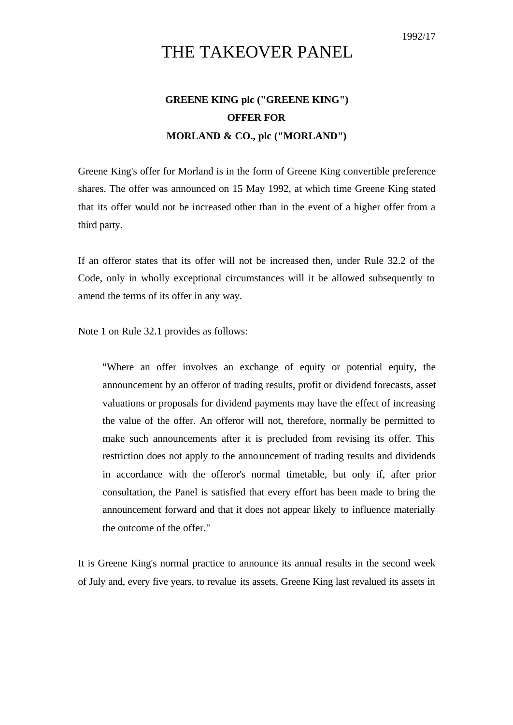## THE TAKEOVER PANEL

## **GREENE KING plc ("GREENE KING") OFFER FOR MORLAND & CO., plc ("MORLAND")**

Greene King's offer for Morland is in the form of Greene King convertible preference shares. The offer was announced on 15 May 1992, at which time Greene King stated that its offer would not be increased other than in the event of a higher offer from a third party.

If an offeror states that its offer will not be increased then, under Rule 32.2 of the Code, only in wholly exceptional circumstances will it be allowed subsequently to amend the terms of its offer in any way.

Note 1 on Rule 32.1 provides as follows:

"Where an offer involves an exchange of equity or potential equity, the announcement by an offeror of trading results, profit or dividend forecasts, asset valuations or proposals for dividend payments may have the effect of increasing the value of the offer. An offeror will not, therefore, normally be permitted to make such announcements after it is precluded from revising its offer. This restriction does not apply to the announcement of trading results and dividends in accordance with the offeror's normal timetable, but only if, after prior consultation, the Panel is satisfied that every effort has been made to bring the announcement forward and that it does not appear likely to influence materially the outcome of the offer."

It is Greene King's normal practice to announce its annual results in the second week of July and, every five years, to revalue its assets. Greene King last revalued its assets in